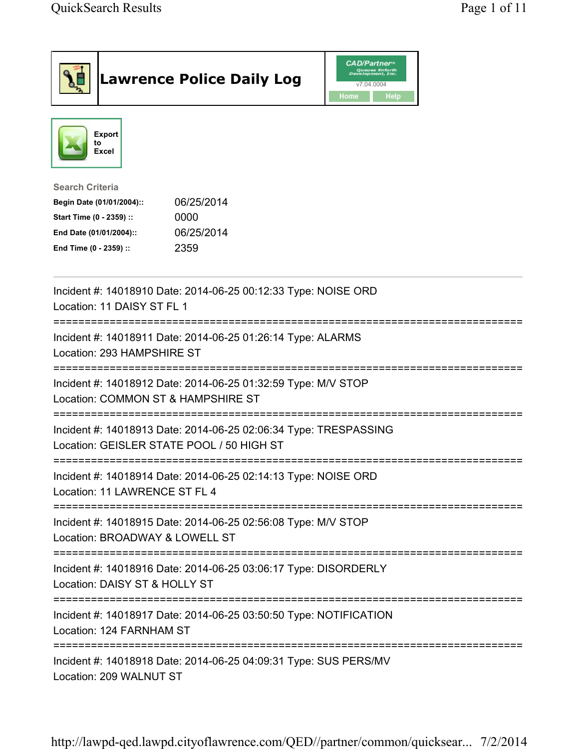|                                                                                                                                      | <b>Lawrence Police Daily Log</b>                                                                              | <b>CAD/Partner</b><br>Queues Enforth<br>Development, Inc.<br>v7.04.0004<br><b>Home</b><br>Help |  |
|--------------------------------------------------------------------------------------------------------------------------------------|---------------------------------------------------------------------------------------------------------------|------------------------------------------------------------------------------------------------|--|
| <b>Export</b><br>to<br><b>Excel</b>                                                                                                  |                                                                                                               |                                                                                                |  |
| <b>Search Criteria</b><br>Begin Date (01/01/2004)::<br>Start Time (0 - 2359) ::<br>End Date (01/01/2004)::<br>End Time (0 - 2359) :: | 06/25/2014<br>0000<br>06/25/2014<br>2359                                                                      |                                                                                                |  |
| Location: 11 DAISY ST FL 1                                                                                                           | Incident #: 14018910 Date: 2014-06-25 00:12:33 Type: NOISE ORD                                                |                                                                                                |  |
| Location: 293 HAMPSHIRE ST                                                                                                           | Incident #: 14018911 Date: 2014-06-25 01:26:14 Type: ALARMS                                                   |                                                                                                |  |
| Location: COMMON ST & HAMPSHIRE ST                                                                                                   | Incident #: 14018912 Date: 2014-06-25 01:32:59 Type: M/V STOP                                                 |                                                                                                |  |
|                                                                                                                                      | Incident #: 14018913 Date: 2014-06-25 02:06:34 Type: TRESPASSING<br>Location: GEISLER STATE POOL / 50 HIGH ST |                                                                                                |  |
| Location: 11 LAWRENCE ST FL 4                                                                                                        | Incident #: 14018914 Date: 2014-06-25 02:14:13 Type: NOISE ORD                                                |                                                                                                |  |
| Location: BROADWAY & LOWELL ST                                                                                                       | Incident #: 14018915 Date: 2014-06-25 02:56:08 Type: M/V STOP                                                 |                                                                                                |  |
| Location: DAISY ST & HOLLY ST                                                                                                        | Incident #: 14018916 Date: 2014-06-25 03:06:17 Type: DISORDERLY                                               |                                                                                                |  |
| Location: 124 FARNHAM ST                                                                                                             | =====================================<br>Incident #: 14018917 Date: 2014-06-25 03:50:50 Type: NOTIFICATION    |                                                                                                |  |
| Location: 209 WALNUT ST                                                                                                              | Incident #: 14018918 Date: 2014-06-25 04:09:31 Type: SUS PERS/MV                                              |                                                                                                |  |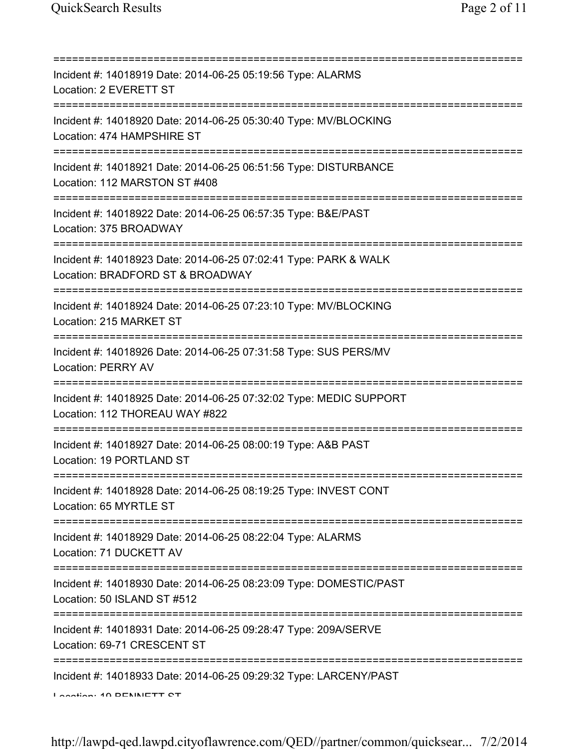| Incident #: 14018919 Date: 2014-06-25 05:19:56 Type: ALARMS<br>Location: 2 EVERETT ST                                                   |
|-----------------------------------------------------------------------------------------------------------------------------------------|
| Incident #: 14018920 Date: 2014-06-25 05:30:40 Type: MV/BLOCKING<br>Location: 474 HAMPSHIRE ST                                          |
| Incident #: 14018921 Date: 2014-06-25 06:51:56 Type: DISTURBANCE<br>Location: 112 MARSTON ST #408                                       |
| Incident #: 14018922 Date: 2014-06-25 06:57:35 Type: B&E/PAST<br>Location: 375 BROADWAY                                                 |
| Incident #: 14018923 Date: 2014-06-25 07:02:41 Type: PARK & WALK<br>Location: BRADFORD ST & BROADWAY                                    |
| Incident #: 14018924 Date: 2014-06-25 07:23:10 Type: MV/BLOCKING<br>Location: 215 MARKET ST                                             |
| Incident #: 14018926 Date: 2014-06-25 07:31:58 Type: SUS PERS/MV<br><b>Location: PERRY AV</b>                                           |
| Incident #: 14018925 Date: 2014-06-25 07:32:02 Type: MEDIC SUPPORT<br>Location: 112 THOREAU WAY #822                                    |
| Incident #: 14018927 Date: 2014-06-25 08:00:19 Type: A&B PAST<br>Location: 19 PORTLAND ST                                               |
| =================================<br>Incident #: 14018928 Date: 2014-06-25 08:19:25 Type: INVEST CONT<br>Location: 65 MYRTLE ST         |
| Incident #: 14018929 Date: 2014-06-25 08:22:04 Type: ALARMS<br>Location: 71 DUCKETT AV                                                  |
| ==================================<br>Incident #: 14018930 Date: 2014-06-25 08:23:09 Type: DOMESTIC/PAST<br>Location: 50 ISLAND ST #512 |
| ----------------------------<br>Incident #: 14018931 Date: 2014-06-25 09:28:47 Type: 209A/SERVE<br>Location: 69-71 CRESCENT ST          |
| Incident #: 14018933 Date: 2014-06-25 09:29:32 Type: LARCENY/PAST<br>Lootion: 40 DENNIETT CT                                            |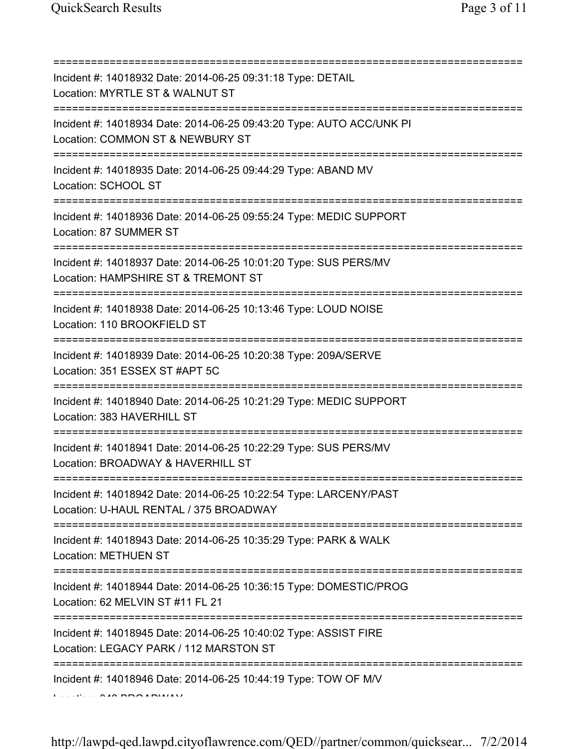| Incident #: 14018932 Date: 2014-06-25 09:31:18 Type: DETAIL<br>Location: MYRTLE ST & WALNUT ST                                                                             |
|----------------------------------------------------------------------------------------------------------------------------------------------------------------------------|
| ======================================<br>Incident #: 14018934 Date: 2014-06-25 09:43:20 Type: AUTO ACC/UNK PI<br>Location: COMMON ST & NEWBURY ST<br>==================== |
| Incident #: 14018935 Date: 2014-06-25 09:44:29 Type: ABAND MV<br>Location: SCHOOL ST                                                                                       |
| Incident #: 14018936 Date: 2014-06-25 09:55:24 Type: MEDIC SUPPORT<br>Location: 87 SUMMER ST                                                                               |
| Incident #: 14018937 Date: 2014-06-25 10:01:20 Type: SUS PERS/MV<br>Location: HAMPSHIRE ST & TREMONT ST                                                                    |
| Incident #: 14018938 Date: 2014-06-25 10:13:46 Type: LOUD NOISE<br>Location: 110 BROOKFIELD ST                                                                             |
| Incident #: 14018939 Date: 2014-06-25 10:20:38 Type: 209A/SERVE<br>Location: 351 ESSEX ST #APT 5C                                                                          |
| Incident #: 14018940 Date: 2014-06-25 10:21:29 Type: MEDIC SUPPORT<br>Location: 383 HAVERHILL ST                                                                           |
| Incident #: 14018941 Date: 2014-06-25 10:22:29 Type: SUS PERS/MV<br>Location: BROADWAY & HAVERHILL ST                                                                      |
| Incident #: 14018942 Date: 2014-06-25 10:22:54 Type: LARCENY/PAST<br>Location: U-HAUL RENTAL / 375 BROADWAY                                                                |
| Incident #: 14018943 Date: 2014-06-25 10:35:29 Type: PARK & WALK<br><b>Location: METHUEN ST</b>                                                                            |
| Incident #: 14018944 Date: 2014-06-25 10:36:15 Type: DOMESTIC/PROG<br>Location: 62 MELVIN ST #11 FL 21                                                                     |
| Incident #: 14018945 Date: 2014-06-25 10:40:02 Type: ASSIST FIRE<br>Location: LEGACY PARK / 112 MARSTON ST                                                                 |
| Incident #: 14018946 Date: 2014-06-25 10:44:19 Type: TOW OF M/V                                                                                                            |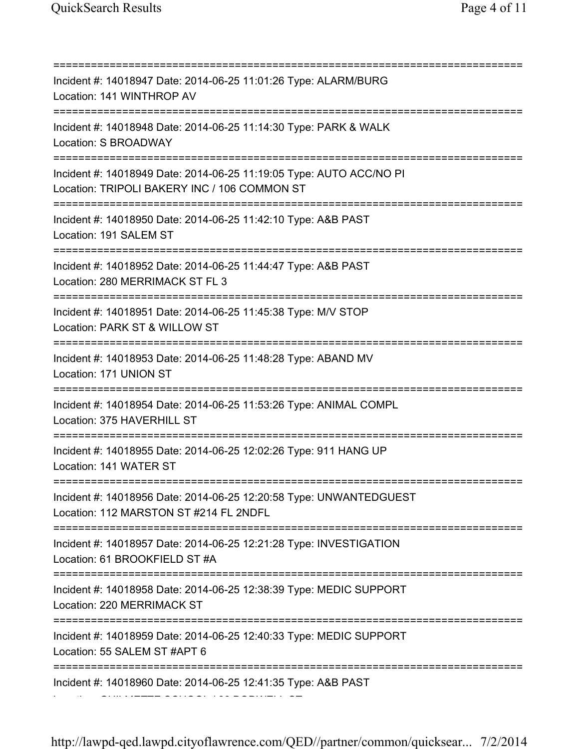=========================================================================== Incident #: 14018947 Date: 2014-06-25 11:01:26 Type: ALARM/BURG Location: 141 WINTHROP AV =========================================================================== Incident #: 14018948 Date: 2014-06-25 11:14:30 Type: PARK & WALK Location: S BROADWAY =========================================================================== Incident #: 14018949 Date: 2014-06-25 11:19:05 Type: AUTO ACC/NO PI Location: TRIPOLI BAKERY INC / 106 COMMON ST =========================================================================== Incident #: 14018950 Date: 2014-06-25 11:42:10 Type: A&B PAST Location: 191 SALEM ST =========================================================================== Incident #: 14018952 Date: 2014-06-25 11:44:47 Type: A&B PAST Location: 280 MERRIMACK ST FL 3 =========================================================================== Incident #: 14018951 Date: 2014-06-25 11:45:38 Type: M/V STOP Location: PARK ST & WILLOW ST =========================================================================== Incident #: 14018953 Date: 2014-06-25 11:48:28 Type: ABAND MV Location: 171 UNION ST =========================================================================== Incident #: 14018954 Date: 2014-06-25 11:53:26 Type: ANIMAL COMPL Location: 375 HAVERHILL ST =========================================================================== Incident #: 14018955 Date: 2014-06-25 12:02:26 Type: 911 HANG UP Location: 141 WATER ST =========================================================================== Incident #: 14018956 Date: 2014-06-25 12:20:58 Type: UNWANTEDGUEST Location: 112 MARSTON ST #214 FL 2NDFL =========================================================================== Incident #: 14018957 Date: 2014-06-25 12:21:28 Type: INVESTIGATION Location: 61 BROOKFIELD ST #A =========================================================================== Incident #: 14018958 Date: 2014-06-25 12:38:39 Type: MEDIC SUPPORT Location: 220 MERRIMACK ST =========================================================================== Incident #: 14018959 Date: 2014-06-25 12:40:33 Type: MEDIC SUPPORT Location: 55 SALEM ST #APT 6 =========================================================================== Incident #: 14018960 Date: 2014-06-25 12:41:35 Type: A&B PAST Location: GUILMETTE SCHOOL / 80 BODWELL ST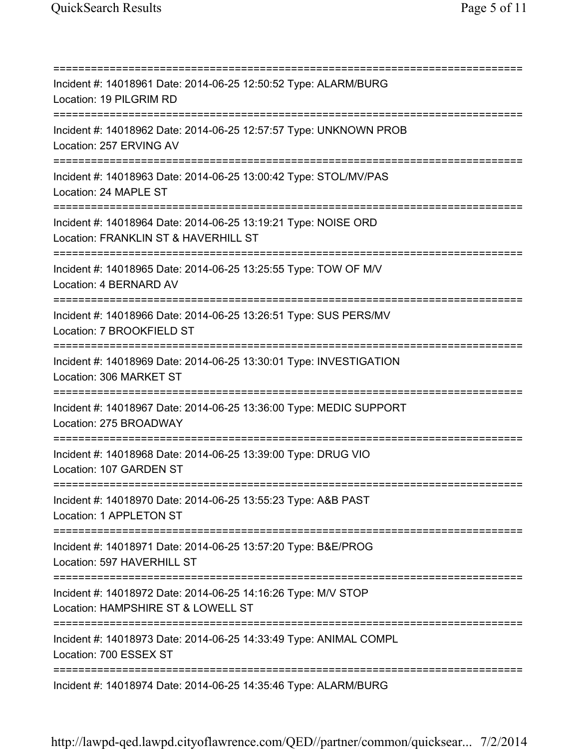=========================================================================== Incident #: 14018961 Date: 2014-06-25 12:50:52 Type: ALARM/BURG Location: 19 PILGRIM RD =========================================================================== Incident #: 14018962 Date: 2014-06-25 12:57:57 Type: UNKNOWN PROB Location: 257 ERVING AV =========================================================================== Incident #: 14018963 Date: 2014-06-25 13:00:42 Type: STOL/MV/PAS Location: 24 MAPLE ST =========================================================================== Incident #: 14018964 Date: 2014-06-25 13:19:21 Type: NOISE ORD Location: FRANKLIN ST & HAVERHILL ST =========================================================================== Incident #: 14018965 Date: 2014-06-25 13:25:55 Type: TOW OF M/V Location: 4 BERNARD AV =========================================================================== Incident #: 14018966 Date: 2014-06-25 13:26:51 Type: SUS PERS/MV Location: 7 BROOKFIELD ST =========================================================================== Incident #: 14018969 Date: 2014-06-25 13:30:01 Type: INVESTIGATION Location: 306 MARKET ST =========================================================================== Incident #: 14018967 Date: 2014-06-25 13:36:00 Type: MEDIC SUPPORT Location: 275 BROADWAY =========================================================================== Incident #: 14018968 Date: 2014-06-25 13:39:00 Type: DRUG VIO Location: 107 GARDEN ST =========================================================================== Incident #: 14018970 Date: 2014-06-25 13:55:23 Type: A&B PAST Location: 1 APPLETON ST =========================================================================== Incident #: 14018971 Date: 2014-06-25 13:57:20 Type: B&E/PROG Location: 597 HAVERHILL ST =========================================================================== Incident #: 14018972 Date: 2014-06-25 14:16:26 Type: M/V STOP Location: HAMPSHIRE ST & LOWELL ST =========================================================================== Incident #: 14018973 Date: 2014-06-25 14:33:49 Type: ANIMAL COMPL Location: 700 ESSEX ST =========================================================================== Incident #: 14018974 Date: 2014-06-25 14:35:46 Type: ALARM/BURG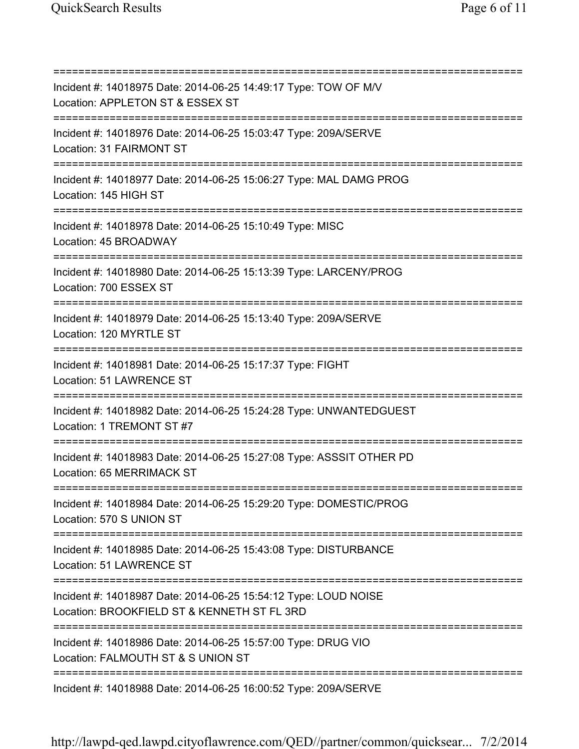=========================================================================== Incident #: 14018975 Date: 2014-06-25 14:49:17 Type: TOW OF M/V Location: APPLETON ST & ESSEX ST =========================================================================== Incident #: 14018976 Date: 2014-06-25 15:03:47 Type: 209A/SERVE Location: 31 FAIRMONT ST =========================================================================== Incident #: 14018977 Date: 2014-06-25 15:06:27 Type: MAL DAMG PROG Location: 145 HIGH ST =========================================================================== Incident #: 14018978 Date: 2014-06-25 15:10:49 Type: MISC Location: 45 BROADWAY =========================================================================== Incident #: 14018980 Date: 2014-06-25 15:13:39 Type: LARCENY/PROG Location: 700 ESSEX ST =========================================================================== Incident #: 14018979 Date: 2014-06-25 15:13:40 Type: 209A/SERVE Location: 120 MYRTLE ST =========================================================================== Incident #: 14018981 Date: 2014-06-25 15:17:37 Type: FIGHT Location: 51 LAWRENCE ST =========================================================================== Incident #: 14018982 Date: 2014-06-25 15:24:28 Type: UNWANTEDGUEST Location: 1 TREMONT ST #7 =========================================================================== Incident #: 14018983 Date: 2014-06-25 15:27:08 Type: ASSSIT OTHER PD Location: 65 MERRIMACK ST =========================================================================== Incident #: 14018984 Date: 2014-06-25 15:29:20 Type: DOMESTIC/PROG Location: 570 S UNION ST =========================================================================== Incident #: 14018985 Date: 2014-06-25 15:43:08 Type: DISTURBANCE Location: 51 LAWRENCE ST =========================================================================== Incident #: 14018987 Date: 2014-06-25 15:54:12 Type: LOUD NOISE Location: BROOKFIELD ST & KENNETH ST FL 3RD =========================================================================== Incident #: 14018986 Date: 2014-06-25 15:57:00 Type: DRUG VIO Location: FALMOUTH ST & S UNION ST =========================================================================== Incident #: 14018988 Date: 2014-06-25 16:00:52 Type: 209A/SERVE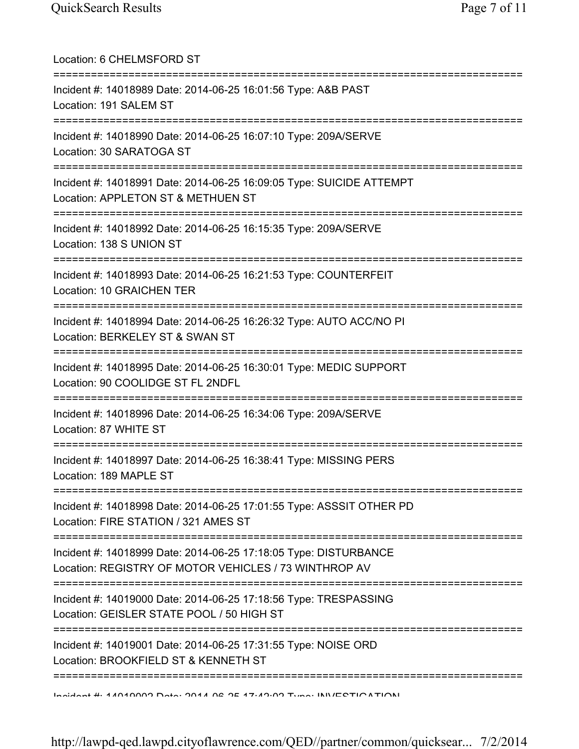| Location: 6 CHELMSFORD ST                                                                                                 |
|---------------------------------------------------------------------------------------------------------------------------|
| Incident #: 14018989 Date: 2014-06-25 16:01:56 Type: A&B PAST<br>Location: 191 SALEM ST                                   |
| Incident #: 14018990 Date: 2014-06-25 16:07:10 Type: 209A/SERVE<br>Location: 30 SARATOGA ST                               |
| Incident #: 14018991 Date: 2014-06-25 16:09:05 Type: SUICIDE ATTEMPT<br>Location: APPLETON ST & METHUEN ST                |
| Incident #: 14018992 Date: 2014-06-25 16:15:35 Type: 209A/SERVE<br>Location: 138 S UNION ST                               |
| Incident #: 14018993 Date: 2014-06-25 16:21:53 Type: COUNTERFEIT<br>Location: 10 GRAICHEN TER                             |
| Incident #: 14018994 Date: 2014-06-25 16:26:32 Type: AUTO ACC/NO PI<br>Location: BERKELEY ST & SWAN ST                    |
| Incident #: 14018995 Date: 2014-06-25 16:30:01 Type: MEDIC SUPPORT<br>Location: 90 COOLIDGE ST FL 2NDFL                   |
| Incident #: 14018996 Date: 2014-06-25 16:34:06 Type: 209A/SERVE<br>Location: 87 WHITE ST                                  |
| Incident #: 14018997 Date: 2014-06-25 16:38:41 Type: MISSING PERS<br>Location: 189 MAPLE ST                               |
| Incident #: 14018998 Date: 2014-06-25 17:01:55 Type: ASSSIT OTHER PD<br>Location: FIRE STATION / 321 AMES ST              |
| Incident #: 14018999 Date: 2014-06-25 17:18:05 Type: DISTURBANCE<br>Location: REGISTRY OF MOTOR VEHICLES / 73 WINTHROP AV |
| Incident #: 14019000 Date: 2014-06-25 17:18:56 Type: TRESPASSING<br>Location: GEISLER STATE POOL / 50 HIGH ST             |
| Incident #: 14019001 Date: 2014-06-25 17:31:55 Type: NOISE ORD<br>Location: BROOKFIELD ST & KENNETH ST                    |
| Indidnot #: 4 AN40000 Data: 2044 DR 27-A2:000 Tuna: INIVECTIONTIONI                                                       |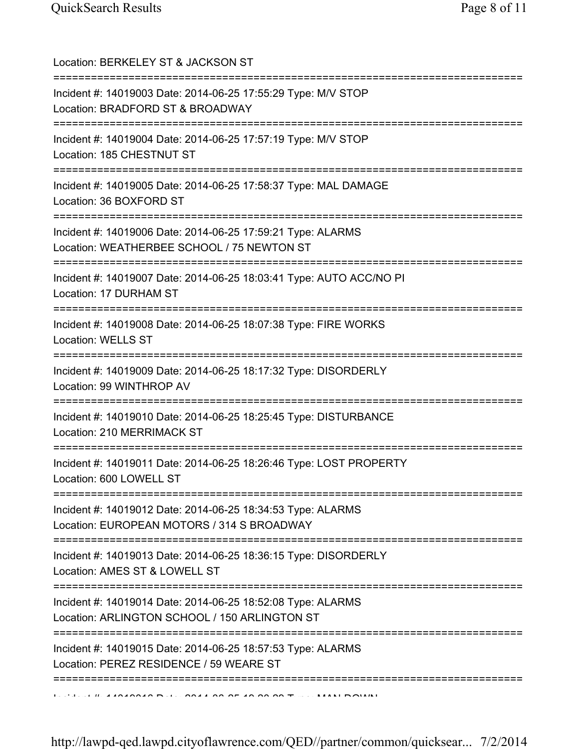| Location: BERKELEY ST & JACKSON ST                                                                                                                 |
|----------------------------------------------------------------------------------------------------------------------------------------------------|
| Incident #: 14019003 Date: 2014-06-25 17:55:29 Type: M/V STOP<br>Location: BRADFORD ST & BROADWAY                                                  |
| Incident #: 14019004 Date: 2014-06-25 17:57:19 Type: M/V STOP<br>Location: 185 CHESTNUT ST<br>====================================                 |
| Incident #: 14019005 Date: 2014-06-25 17:58:37 Type: MAL DAMAGE<br>Location: 36 BOXFORD ST                                                         |
| Incident #: 14019006 Date: 2014-06-25 17:59:21 Type: ALARMS<br>Location: WEATHERBEE SCHOOL / 75 NEWTON ST                                          |
| Incident #: 14019007 Date: 2014-06-25 18:03:41 Type: AUTO ACC/NO PI<br>Location: 17 DURHAM ST                                                      |
| Incident #: 14019008 Date: 2014-06-25 18:07:38 Type: FIRE WORKS<br><b>Location: WELLS ST</b>                                                       |
| Incident #: 14019009 Date: 2014-06-25 18:17:32 Type: DISORDERLY<br>Location: 99 WINTHROP AV                                                        |
| Incident #: 14019010 Date: 2014-06-25 18:25:45 Type: DISTURBANCE<br>Location: 210 MERRIMACK ST                                                     |
| Incident #: 14019011 Date: 2014-06-25 18:26:46 Type: LOST PROPERTY<br>Location: 600 LOWELL ST                                                      |
| =====================================<br>Incident #: 14019012 Date: 2014-06-25 18:34:53 Type: ALARMS<br>Location: EUROPEAN MOTORS / 314 S BROADWAY |
| Incident #: 14019013 Date: 2014-06-25 18:36:15 Type: DISORDERLY<br>Location: AMES ST & LOWELL ST                                                   |
| Incident #: 14019014 Date: 2014-06-25 18:52:08 Type: ALARMS<br>Location: ARLINGTON SCHOOL / 150 ARLINGTON ST                                       |
| Incident #: 14019015 Date: 2014-06-25 18:57:53 Type: ALARMS<br>Location: PEREZ RESIDENCE / 59 WEARE ST                                             |
|                                                                                                                                                    |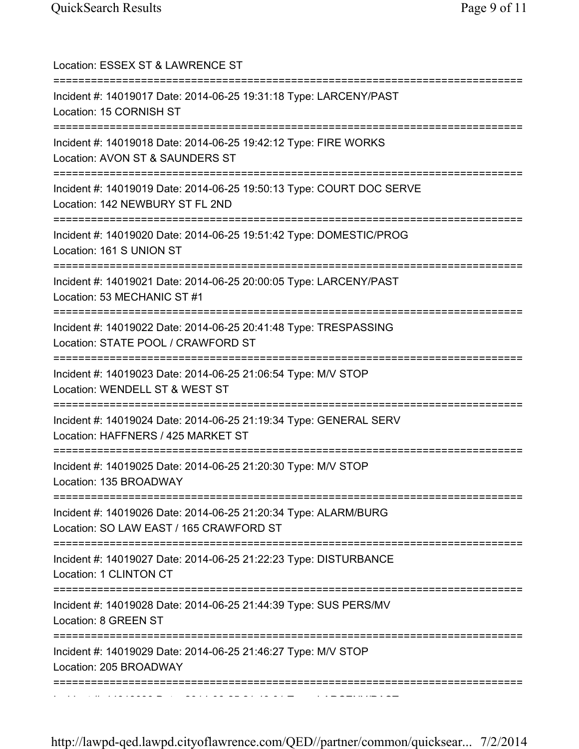| Location: ESSEX ST & LAWRENCE ST<br>========================                                                                              |
|-------------------------------------------------------------------------------------------------------------------------------------------|
| Incident #: 14019017 Date: 2014-06-25 19:31:18 Type: LARCENY/PAST<br>Location: 15 CORNISH ST<br>;==================================       |
| Incident #: 14019018 Date: 2014-06-25 19:42:12 Type: FIRE WORKS<br>Location: AVON ST & SAUNDERS ST                                        |
| Incident #: 14019019 Date: 2014-06-25 19:50:13 Type: COURT DOC SERVE<br>Location: 142 NEWBURY ST FL 2ND                                   |
| Incident #: 14019020 Date: 2014-06-25 19:51:42 Type: DOMESTIC/PROG<br>Location: 161 S UNION ST                                            |
| Incident #: 14019021 Date: 2014-06-25 20:00:05 Type: LARCENY/PAST<br>Location: 53 MECHANIC ST #1                                          |
| Incident #: 14019022 Date: 2014-06-25 20:41:48 Type: TRESPASSING<br>Location: STATE POOL / CRAWFORD ST<br>=============================== |
| Incident #: 14019023 Date: 2014-06-25 21:06:54 Type: M/V STOP<br>Location: WENDELL ST & WEST ST                                           |
| Incident #: 14019024 Date: 2014-06-25 21:19:34 Type: GENERAL SERV<br>Location: HAFFNERS / 425 MARKET ST                                   |
| Incident #: 14019025 Date: 2014-06-25 21:20:30 Type: M/V STOP<br>Location: 135 BROADWAY                                                   |
| Incident #: 14019026 Date: 2014-06-25 21:20:34 Type: ALARM/BURG<br>Location: SO LAW EAST / 165 CRAWFORD ST                                |
| Incident #: 14019027 Date: 2014-06-25 21:22:23 Type: DISTURBANCE<br>Location: 1 CLINTON CT                                                |
| Incident #: 14019028 Date: 2014-06-25 21:44:39 Type: SUS PERS/MV<br>Location: 8 GREEN ST                                                  |
| Incident #: 14019029 Date: 2014-06-25 21:46:27 Type: M/V STOP<br>Location: 205 BROADWAY                                                   |
|                                                                                                                                           |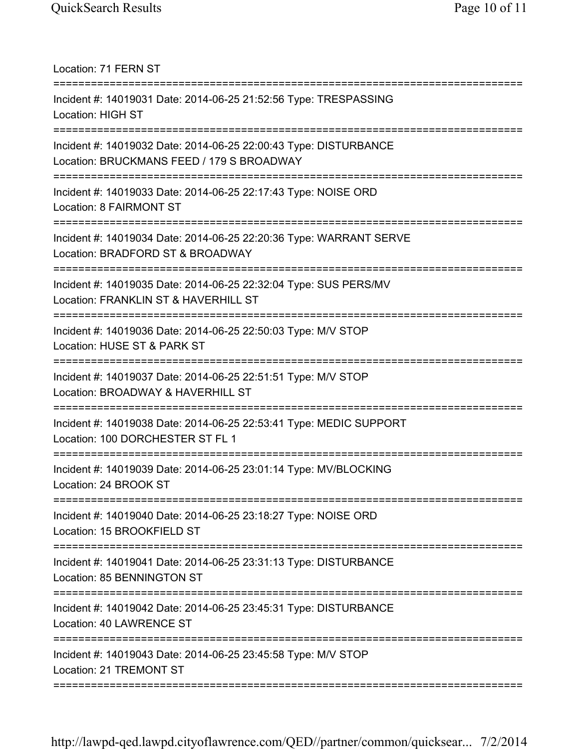Location: 71 FERN ST =========================================================================== Incident #: 14019031 Date: 2014-06-25 21:52:56 Type: TRESPASSING Location: HIGH ST =========================================================================== Incident #: 14019032 Date: 2014-06-25 22:00:43 Type: DISTURBANCE Location: BRUCKMANS FEED / 179 S BROADWAY =========================================================================== Incident #: 14019033 Date: 2014-06-25 22:17:43 Type: NOISE ORD Location: 8 FAIRMONT ST =========================================================================== Incident #: 14019034 Date: 2014-06-25 22:20:36 Type: WARRANT SERVE Location: BRADFORD ST & BROADWAY =========================================================================== Incident #: 14019035 Date: 2014-06-25 22:32:04 Type: SUS PERS/MV Location: FRANKLIN ST & HAVERHILL ST =========================================================================== Incident #: 14019036 Date: 2014-06-25 22:50:03 Type: M/V STOP Location: HUSE ST & PARK ST =========================================================================== Incident #: 14019037 Date: 2014-06-25 22:51:51 Type: M/V STOP Location: BROADWAY & HAVERHILL ST =========================================================================== Incident #: 14019038 Date: 2014-06-25 22:53:41 Type: MEDIC SUPPORT Location: 100 DORCHESTER ST FL 1 =========================================================================== Incident #: 14019039 Date: 2014-06-25 23:01:14 Type: MV/BLOCKING Location: 24 BROOK ST =========================================================================== Incident #: 14019040 Date: 2014-06-25 23:18:27 Type: NOISE ORD Location: 15 BROOKFIELD ST =========================================================================== Incident #: 14019041 Date: 2014-06-25 23:31:13 Type: DISTURBANCE Location: 85 BENNINGTON ST =========================================================================== Incident #: 14019042 Date: 2014-06-25 23:45:31 Type: DISTURBANCE Location: 40 LAWRENCE ST =========================================================================== Incident #: 14019043 Date: 2014-06-25 23:45:58 Type: M/V STOP Location: 21 TREMONT ST ===========================================================================